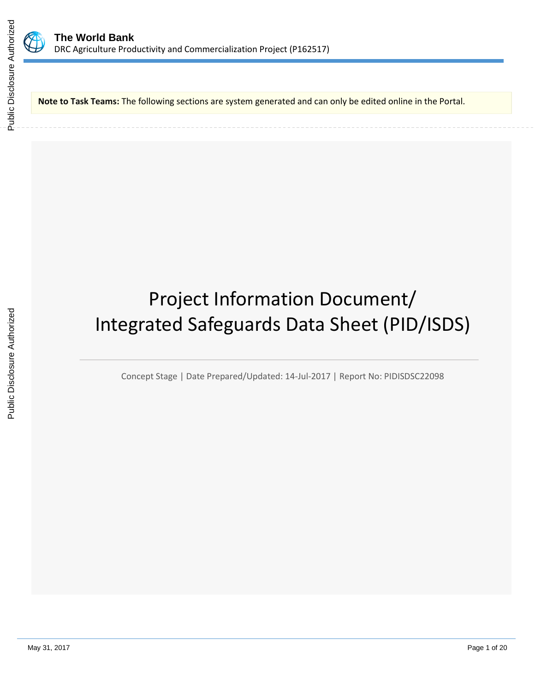

**Note to Task Teams:** The following sections are system generated and can only be edited online in the Portal.

# Project Information Document/ Integrated Safeguards Data Sheet (PID/ISDS)

Concept Stage | Date Prepared/Updated: 14-Jul-2017 | Report No: PIDISDSC22098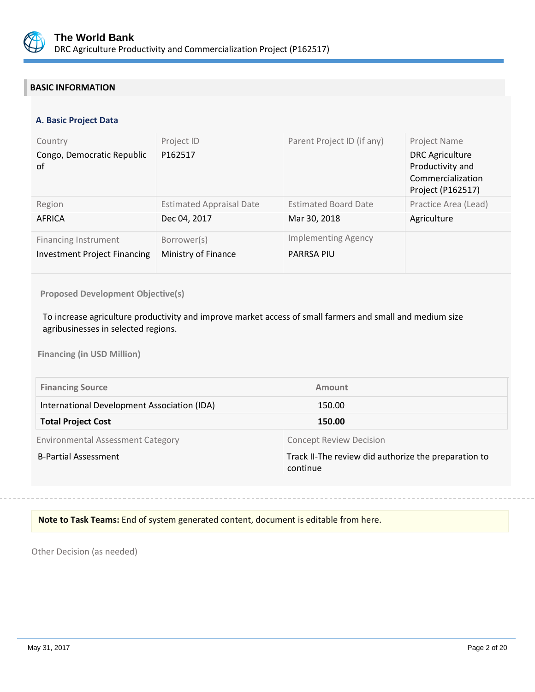

# **BASIC INFORMATION**

#### **A. Basic Project Data**

| Country<br>Congo, Democratic Republic<br>of | Project ID<br>P162517           | Parent Project ID (if any)  | Project Name<br><b>DRC</b> Agriculture<br>Productivity and<br>Commercialization<br>Project (P162517) |
|---------------------------------------------|---------------------------------|-----------------------------|------------------------------------------------------------------------------------------------------|
| Region                                      | <b>Estimated Appraisal Date</b> | <b>Estimated Board Date</b> | Practice Area (Lead)                                                                                 |
| AFRICA                                      | Dec 04, 2017                    | Mar 30, 2018                | Agriculture                                                                                          |
| <b>Financing Instrument</b>                 | Borrower(s)                     | <b>Implementing Agency</b>  |                                                                                                      |
| <b>Investment Project Financing</b>         | Ministry of Finance             | <b>PARRSA PIU</b>           |                                                                                                      |

**Proposed Development Objective(s)** 

To increase agriculture productivity and improve market access of small farmers and small and medium size agribusinesses in selected regions.

**Financing (in USD Million)**

| <b>Financing Source</b>                     | Amount                                                           |
|---------------------------------------------|------------------------------------------------------------------|
| International Development Association (IDA) | 150.00                                                           |
| <b>Total Project Cost</b>                   | 150.00                                                           |
| <b>Environmental Assessment Category</b>    | <b>Concept Review Decision</b>                                   |
| <b>B-Partial Assessment</b>                 | Track II-The review did authorize the preparation to<br>continue |

### **Note to Task Teams:** End of system generated content, document is editable from here.

Other Decision (as needed)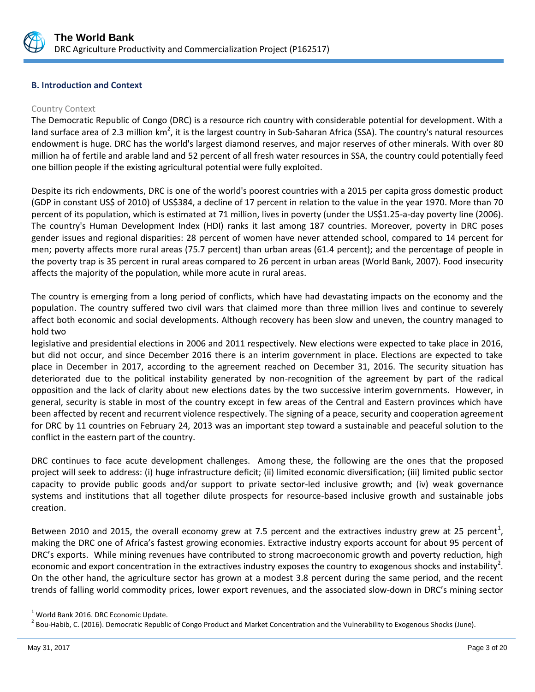

### **B. Introduction and Context**

#### Country Context

The Democratic Republic of Congo (DRC) is a resource rich country with considerable potential for development. With a land surface area of 2.3 million km<sup>2</sup>, it is the largest country in Sub-Saharan Africa (SSA). The country's natural resources endowment is huge. DRC has the world's largest diamond reserves, and major reserves of other minerals. With over 80 million ha of fertile and arable land and 52 percent of all fresh water resources in SSA, the country could potentially feed one billion people if the existing agricultural potential were fully exploited.

Despite its rich endowments, DRC is one of the world's poorest countries with a 2015 per capita gross domestic product (GDP in constant US\$ of 2010) of US\$384, a decline of 17 percent in relation to the value in the year 1970. More than 70 percent of its population, which is estimated at 71 million, lives in poverty (under the US\$1.25-a-day poverty line (2006). The country's Human Development Index (HDI) ranks it last among 187 countries. Moreover, poverty in DRC poses gender issues and regional disparities: 28 percent of women have never attended school, compared to 14 percent for men; poverty affects more rural areas (75.7 percent) than urban areas (61.4 percent); and the percentage of people in the poverty trap is 35 percent in rural areas compared to 26 percent in urban areas (World Bank, 2007). Food insecurity affects the majority of the population, while more acute in rural areas.

The country is emerging from a long period of conflicts, which have had devastating impacts on the economy and the population. The country suffered two civil wars that claimed more than three million lives and continue to severely affect both economic and social developments. Although recovery has been slow and uneven, the country managed to hold two

legislative and presidential elections in 2006 and 2011 respectively. New elections were expected to take place in 2016, but did not occur, and since December 2016 there is an interim government in place. Elections are expected to take place in December in 2017, according to the agreement reached on December 31, 2016. The security situation has deteriorated due to the political instability generated by non-recognition of the agreement by part of the radical opposition and the lack of clarity about new elections dates by the two successive interim governments. However, in general, security is stable in most of the country except in few areas of the Central and Eastern provinces which have been affected by recent and recurrent violence respectively. The signing of a peace, security and cooperation agreement for DRC by 11 countries on February 24, 2013 was an important step toward a sustainable and peaceful solution to the conflict in the eastern part of the country.

DRC continues to face acute development challenges. Among these, the following are the ones that the proposed project will seek to address: (i) huge infrastructure deficit; (ii) limited economic diversification; (iii) limited public sector capacity to provide public goods and/or support to private sector-led inclusive growth; and (iv) weak governance systems and institutions that all together dilute prospects for resource-based inclusive growth and sustainable jobs creation.

Between 2010 and 2015, the overall economy grew at 7.5 percent and the extractives industry grew at 25 percent<sup>1</sup>, making the DRC one of Africa's fastest growing economies. Extractive industry exports account for about 95 percent of DRC's exports. While mining revenues have contributed to strong macroeconomic growth and poverty reduction, high economic and export concentration in the extractives industry exposes the country to exogenous shocks and instability<sup>2</sup>. On the other hand, the agriculture sector has grown at a modest 3.8 percent during the same period, and the recent trends of falling world commodity prices, lower export revenues, and the associated slow-down in DRC's mining sector

<sup>1</sup> World Bank 2016. DRC Economic Update.

 $^2$  Bou-Habib, C. (2016). Democratic Republic of Congo Product and Market Concentration and the Vulnerability to Exogenous Shocks (June).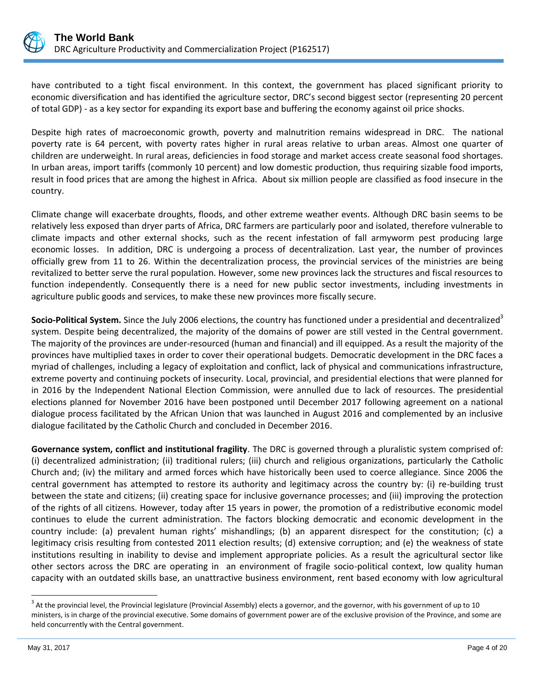

have contributed to a tight fiscal environment. In this context, the government has placed significant priority to economic diversification and has identified the agriculture sector, DRC's second biggest sector (representing 20 percent of total GDP) - as a key sector for expanding its export base and buffering the economy against oil price shocks.

Despite high rates of macroeconomic growth, poverty and malnutrition remains widespread in DRC. The national poverty rate is 64 percent, with poverty rates higher in rural areas relative to urban areas. Almost one quarter of children are underweight. In rural areas, deficiencies in food storage and market access create seasonal food shortages. In urban areas, import tariffs (commonly 10 percent) and low domestic production, thus requiring sizable food imports, result in food prices that are among the highest in Africa. About six million people are classified as food insecure in the country.

Climate change will exacerbate droughts, floods, and other extreme weather events. Although DRC basin seems to be relatively less exposed than dryer parts of Africa, DRC farmers are particularly poor and isolated, therefore vulnerable to climate impacts and other external shocks, such as the recent infestation of fall armyworm pest producing large economic losses. In addition, DRC is undergoing a process of decentralization. Last year, the number of provinces officially grew from 11 to 26. Within the decentralization process, the provincial services of the ministries are being revitalized to better serve the rural population. However, some new provinces lack the structures and fiscal resources to function independently. Consequently there is a need for new public sector investments, including investments in agriculture public goods and services, to make these new provinces more fiscally secure.

**Socio-Political System.** Since the July 2006 elections, the country has functioned under a presidential and decentralized<sup>3</sup> system. Despite being decentralized, the majority of the domains of power are still vested in the Central government. The majority of the provinces are under-resourced (human and financial) and ill equipped. As a result the majority of the provinces have multiplied taxes in order to cover their operational budgets. Democratic development in the DRC faces a myriad of challenges, including a legacy of exploitation and conflict, lack of physical and communications infrastructure, extreme poverty and continuing pockets of insecurity. Local, provincial, and presidential elections that were planned for in 2016 by the Independent National Election Commission, were annulled due to lack of resources. The presidential elections planned for November 2016 have been postponed until December 2017 following agreement on a national dialogue process facilitated by the African Union that was launched in August 2016 and complemented by an inclusive dialogue facilitated by the Catholic Church and concluded in December 2016.

**Governance system, conflict and institutional fragility**. The DRC is governed through a pluralistic system comprised of: (i) decentralized administration; (ii) traditional rulers; (iii) church and religious organizations, particularly the Catholic Church and; (iv) the military and armed forces which have historically been used to coerce allegiance. Since 2006 the central government has attempted to restore its authority and legitimacy across the country by: (i) re-building trust between the state and citizens; (ii) creating space for inclusive governance processes; and (iii) improving the protection of the rights of all citizens. However, today after 15 years in power, the promotion of a redistributive economic model continues to elude the current administration. The factors blocking democratic and economic development in the country include: (a) prevalent human rights' mishandlings; (b) an apparent disrespect for the constitution; (c) a legitimacy crisis resulting from contested 2011 election results; (d) extensive corruption; and (e) the weakness of state institutions resulting in inability to devise and implement appropriate policies. As a result the agricultural sector like other sectors across the DRC are operating in an environment of fragile socio-political context, low quality human capacity with an outdated skills base, an unattractive business environment, rent based economy with low agricultural

 $^3$  At the provincial level, the Provincial legislature (Provincial Assembly) elects a governor, and the governor, with his government of up to 10 ministers, is in charge of the provincial executive. Some domains of government power are of the exclusive provision of the Province, and some are held concurrently with the Central government.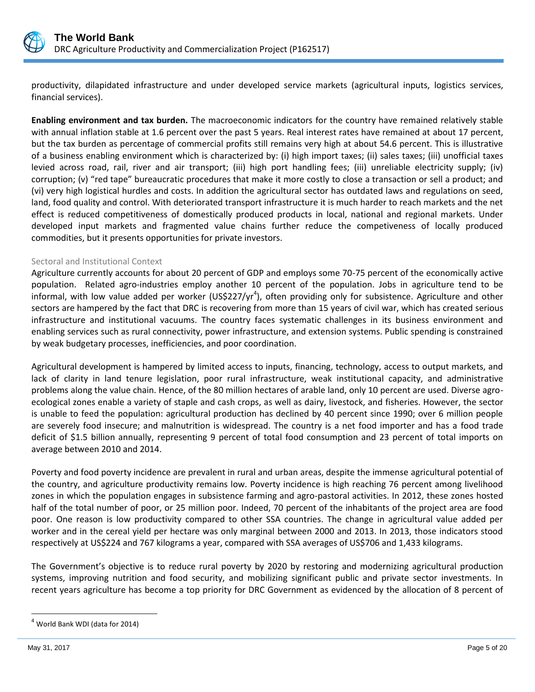

productivity, dilapidated infrastructure and under developed service markets (agricultural inputs, logistics services, financial services).

**Enabling environment and tax burden.** The macroeconomic indicators for the country have remained relatively stable with annual inflation stable at 1.6 percent over the past 5 years. Real interest rates have remained at about 17 percent, but the tax burden as percentage of commercial profits still remains very high at about 54.6 percent. This is illustrative of a business enabling environment which is characterized by: (i) high import taxes; (ii) sales taxes; (iii) unofficial taxes levied across road, rail, river and air transport; (iii) high port handling fees; (iii) unreliable electricity supply; (iv) corruption; (v) "red tape" bureaucratic procedures that make it more costly to close a transaction or sell a product; and (vi) very high logistical hurdles and costs. In addition the agricultural sector has outdated laws and regulations on seed, land, food quality and control. With deteriorated transport infrastructure it is much harder to reach markets and the net effect is reduced competitiveness of domestically produced products in local, national and regional markets. Under developed input markets and fragmented value chains further reduce the competiveness of locally produced commodities, but it presents opportunities for private investors.

#### Sectoral and Institutional Context

Agriculture currently accounts for about 20 percent of GDP and employs some 70-75 percent of the economically active population. Related agro-industries employ another 10 percent of the population. Jobs in agriculture tend to be informal, with low value added per worker (US\$227/yr<sup>4</sup>), often providing only for subsistence. Agriculture and other sectors are hampered by the fact that DRC is recovering from more than 15 years of civil war, which has created serious infrastructure and institutional vacuums. The country faces systematic challenges in its business environment and enabling services such as rural connectivity, power infrastructure, and extension systems. Public spending is constrained by weak budgetary processes, inefficiencies, and poor coordination.

Agricultural development is hampered by limited access to inputs, financing, technology, access to output markets, and lack of clarity in land tenure legislation, poor rural infrastructure, weak institutional capacity, and administrative problems along the value chain. Hence, of the 80 million hectares of arable land, only 10 percent are used. Diverse agroecological zones enable a variety of staple and cash crops, as well as dairy, livestock, and fisheries. However, the sector is unable to feed the population: agricultural production has declined by 40 percent since 1990; over 6 million people are severely food insecure; and malnutrition is widespread. The country is a net food importer and has a food trade deficit of \$1.5 billion annually, representing 9 percent of total food consumption and 23 percent of total imports on average between 2010 and 2014.

Poverty and food poverty incidence are prevalent in rural and urban areas, despite the immense agricultural potential of the country, and agriculture productivity remains low. Poverty incidence is high reaching 76 percent among livelihood zones in which the population engages in subsistence farming and agro-pastoral activities. In 2012, these zones hosted half of the total number of poor, or 25 million poor. Indeed, 70 percent of the inhabitants of the project area are food poor. One reason is low productivity compared to other SSA countries. The change in agricultural value added per worker and in the cereal yield per hectare was only marginal between 2000 and 2013. In 2013, those indicators stood respectively at US\$224 and 767 kilograms a year, compared with SSA averages of US\$706 and 1,433 kilograms.

The Government's objective is to reduce rural poverty by 2020 by restoring and modernizing agricultural production systems, improving nutrition and food security, and mobilizing significant public and private sector investments. In recent years agriculture has become a top priority for DRC Government as evidenced by the allocation of 8 percent of

 $4$  World Bank WDI (data for 2014)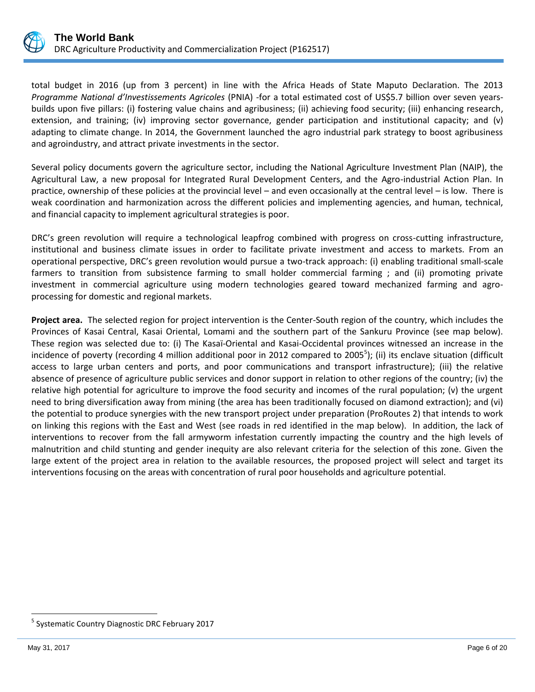

total budget in 2016 (up from 3 percent) in line with the Africa Heads of State Maputo Declaration. The 2013 *Programme National d'Investissements Agricoles* (PNIA) -for a total estimated cost of US\$5.7 billion over seven yearsbuilds upon five pillars: (i) fostering value chains and agribusiness; (ii) achieving food security; (iii) enhancing research, extension, and training; (iv) improving sector governance, gender participation and institutional capacity; and (v) adapting to climate change. In 2014, the Government launched the agro industrial park strategy to boost agribusiness and agroindustry, and attract private investments in the sector.

Several policy documents govern the agriculture sector, including the National Agriculture Investment Plan (NAIP), the Agricultural Law, a new proposal for Integrated Rural Development Centers, and the Agro-industrial Action Plan. In practice, ownership of these policies at the provincial level – and even occasionally at the central level – is low. There is weak coordination and harmonization across the different policies and implementing agencies, and human, technical, and financial capacity to implement agricultural strategies is poor.

DRC's green revolution will require a technological leapfrog combined with progress on cross-cutting infrastructure, institutional and business climate issues in order to facilitate private investment and access to markets. From an operational perspective, DRC's green revolution would pursue a two-track approach: (i) enabling traditional small-scale farmers to transition from subsistence farming to small holder commercial farming ; and (ii) promoting private investment in commercial agriculture using modern technologies geared toward mechanized farming and agroprocessing for domestic and regional markets.

**Project area.** The selected region for project intervention is the Center-South region of the country, which includes the Provinces of Kasai Central, Kasai Oriental, Lomami and the southern part of the Sankuru Province (see map below). These region was selected due to: (i) The Kasaï-Oriental and Kasai-Occidental provinces witnessed an increase in the incidence of poverty (recording 4 million additional poor in 2012 compared to 2005<sup>5</sup>); (ii) its enclave situation (difficult access to large urban centers and ports, and poor communications and transport infrastructure); (iii) the relative absence of presence of agriculture public services and donor support in relation to other regions of the country; (iv) the relative high potential for agriculture to improve the food security and incomes of the rural population; (v) the urgent need to bring diversification away from mining (the area has been traditionally focused on diamond extraction); and (vi) the potential to produce synergies with the new transport project under preparation (ProRoutes 2) that intends to work on linking this regions with the East and West (see roads in red identified in the map below). In addition, the lack of interventions to recover from the fall armyworm infestation currently impacting the country and the high levels of malnutrition and child stunting and gender inequity are also relevant criteria for the selection of this zone. Given the large extent of the project area in relation to the available resources, the proposed project will select and target its interventions focusing on the areas with concentration of rural poor households and agriculture potential.

<sup>&</sup>lt;sup>5</sup> Systematic Country Diagnostic DRC February 2017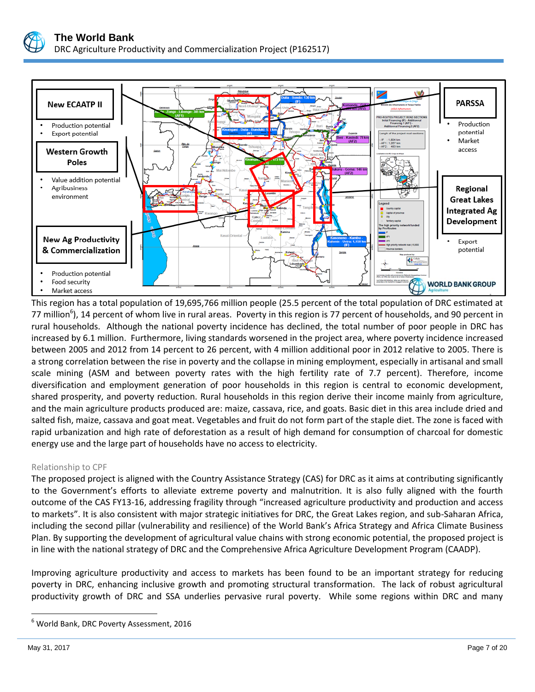



This region has a total population of 19,695,766 million people (25.5 percent of the total population of DRC estimated at 77 million<sup>6</sup>), 14 percent of whom live in rural areas. Poverty in this region is 77 percent of households, and 90 percent in rural households. Although the national poverty incidence has declined, the total number of poor people in DRC has increased by 6.1 million. Furthermore, living standards worsened in the project area, where poverty incidence increased between 2005 and 2012 from 14 percent to 26 percent, with 4 million additional poor in 2012 relative to 2005. There is a strong correlation between the rise in poverty and the collapse in mining employment, especially in artisanal and small scale mining (ASM and between poverty rates with the high fertility rate of 7.7 percent). Therefore, income diversification and employment generation of poor households in this region is central to economic development, shared prosperity, and poverty reduction. Rural households in this region derive their income mainly from agriculture, and the main agriculture products produced are: maize, cassava, rice, and goats. Basic diet in this area include dried and salted fish, maize, cassava and goat meat. Vegetables and fruit do not form part of the staple diet. The zone is faced with rapid urbanization and high rate of deforestation as a result of high demand for consumption of charcoal for domestic energy use and the large part of households have no access to electricity.

#### Relationship to CPF

The proposed project is aligned with the Country Assistance Strategy (CAS) for DRC as it aims at contributing significantly to the Government's efforts to alleviate extreme poverty and malnutrition. It is also fully aligned with the fourth outcome of the CAS FY13-16, addressing fragility through "increased agriculture productivity and production and access to markets". It is also consistent with major strategic initiatives for DRC, the Great Lakes region, and sub-Saharan Africa, including the second pillar (vulnerability and resilience) of the World Bank's Africa Strategy and Africa Climate Business Plan. By supporting the development of agricultural value chains with strong economic potential, the proposed project is in line with the national strategy of DRC and the Comprehensive Africa Agriculture Development Program (CAADP).

Improving agriculture productivity and access to markets has been found to be an important strategy for reducing poverty in DRC, enhancing inclusive growth and promoting structural transformation. The lack of robust agricultural productivity growth of DRC and SSA underlies pervasive rural poverty. While some regions within DRC and many

<sup>6</sup> World Bank, DRC Poverty Assessment, 2016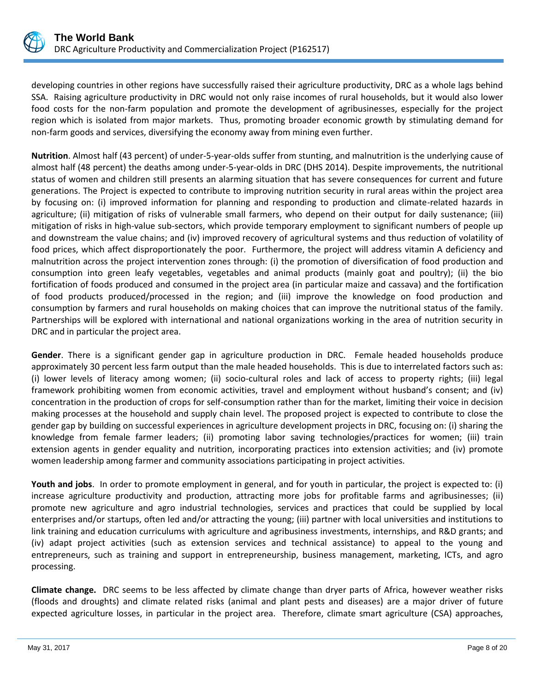

developing countries in other regions have successfully raised their agriculture productivity, DRC as a whole lags behind SSA. Raising agriculture productivity in DRC would not only raise incomes of rural households, but it would also lower food costs for the non-farm population and promote the development of agribusinesses, especially for the project region which is isolated from major markets. Thus, promoting broader economic growth by stimulating demand for non-farm goods and services, diversifying the economy away from mining even further.

**Nutrition**. Almost half (43 percent) of under-5-year-olds suffer from stunting, and malnutrition is the underlying cause of almost half (48 percent) the deaths among under-5-year-olds in DRC (DHS 2014). Despite improvements, the nutritional status of women and children still presents an alarming situation that has severe consequences for current and future generations. The Project is expected to contribute to improving nutrition security in rural areas within the project area by focusing on: (i) improved information for planning and responding to production and climate-related hazards in agriculture; (ii) mitigation of risks of vulnerable small farmers, who depend on their output for daily sustenance; (iii) mitigation of risks in high-value sub-sectors, which provide temporary employment to significant numbers of people up and downstream the value chains; and (iv) improved recovery of agricultural systems and thus reduction of volatility of food prices, which affect disproportionately the poor. Furthermore, the project will address vitamin A deficiency and malnutrition across the project intervention zones through: (i) the promotion of diversification of food production and consumption into green leafy vegetables, vegetables and animal products (mainly goat and poultry); (ii) the bio fortification of foods produced and consumed in the project area (in particular maize and cassava) and the fortification of food products produced/processed in the region; and (iii) improve the knowledge on food production and consumption by farmers and rural households on making choices that can improve the nutritional status of the family. Partnerships will be explored with international and national organizations working in the area of nutrition security in DRC and in particular the project area.

**Gender**. There is a significant gender gap in agriculture production in DRC. Female headed households produce approximately 30 percent less farm output than the male headed households. This is due to interrelated factors such as: (i) lower levels of literacy among women; (ii) socio-cultural roles and lack of access to property rights; (iii) legal framework prohibiting women from economic activities, travel and employment without husband's consent; and (iv) concentration in the production of crops for self-consumption rather than for the market, limiting their voice in decision making processes at the household and supply chain level. The proposed project is expected to contribute to close the gender gap by building on successful experiences in agriculture development projects in DRC, focusing on: (i) sharing the knowledge from female farmer leaders; (ii) promoting labor saving technologies/practices for women; (iii) train extension agents in gender equality and nutrition, incorporating practices into extension activities; and (iv) promote women leadership among farmer and community associations participating in project activities.

**Youth and jobs**. In order to promote employment in general, and for youth in particular, the project is expected to: (i) increase agriculture productivity and production, attracting more jobs for profitable farms and agribusinesses; (ii) promote new agriculture and agro industrial technologies, services and practices that could be supplied by local enterprises and/or startups, often led and/or attracting the young; (iii) partner with local universities and institutions to link training and education curriculums with agriculture and agribusiness investments, internships, and R&D grants; and (iv) adapt project activities (such as extension services and technical assistance) to appeal to the young and entrepreneurs, such as training and support in entrepreneurship, business management, marketing, ICTs, and agro processing.

**Climate change.** DRC seems to be less affected by climate change than dryer parts of Africa, however weather risks (floods and droughts) and climate related risks (animal and plant pests and diseases) are a major driver of future expected agriculture losses, in particular in the project area. Therefore, climate smart agriculture (CSA) approaches,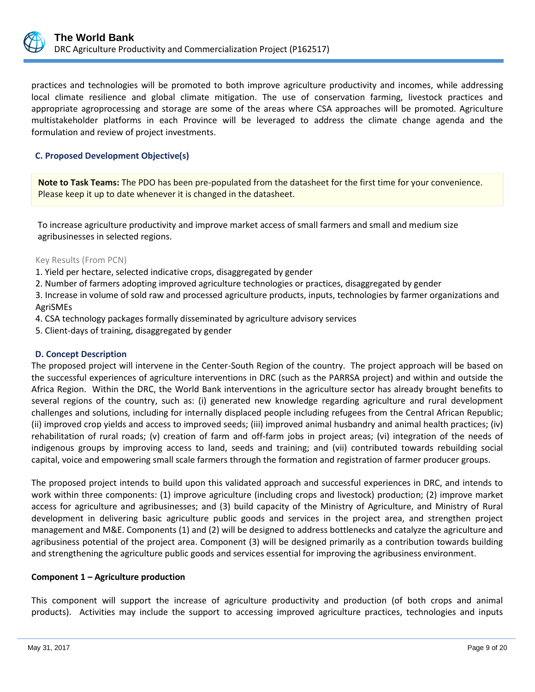

practices and technologies will be promoted to both improve agriculture productivity and incomes, while addressing local climate resilience and global climate mitigation. The use of conservation farming, livestock practices and appropriate agroprocessing and storage are some of the areas where CSA approaches will be promoted. Agriculture multistakeholder platforms in each Province will be leveraged to address the climate change agenda and the formulation and review of project investments.

### **C. Proposed Development Objective(s)**

**Note to Task Teams:** The PDO has been pre-populated from the datasheet for the first time for your convenience. Please keep it up to date whenever it is changed in the datasheet.

To increase agriculture productivity and improve market access of small farmers and small and medium size agribusinesses in selected regions.

#### Key Results (From PCN)

1. Yield per hectare, selected indicative crops, disaggregated by gender

2. Number of farmers adopting improved agriculture technologies or practices, disaggregated by gender

3. Increase in volume of sold raw and processed agriculture products, inputs, technologies by farmer organizations and AgriSMEs

- 4. CSA technology packages formally disseminated by agriculture advisory services
- 5. Client-days of training, disaggregated by gender

#### **D. Concept Description**

The proposed project will intervene in the Center-South Region of the country. The project approach will be based on the successful experiences of agriculture interventions in DRC (such as the PARRSA project) and within and outside the Africa Region. Within the DRC, the World Bank interventions in the agriculture sector has already brought benefits to several regions of the country, such as: (i) generated new knowledge regarding agriculture and rural development challenges and solutions, including for internally displaced people including refugees from the Central African Republic; (ii) improved crop yields and access to improved seeds; (iii) improved animal husbandry and animal health practices; (iv) rehabilitation of rural roads; (v) creation of farm and off-farm jobs in project areas; (vi) integration of the needs of indigenous groups by improving access to land, seeds and training; and (vii) contributed towards rebuilding social capital, voice and empowering small scale farmers through the formation and registration of farmer producer groups.

The proposed project intends to build upon this validated approach and successful experiences in DRC, and intends to work within three components: (1) improve agriculture (including crops and livestock) production; (2) improve market access for agriculture and agribusinesses; and (3) build capacity of the Ministry of Agriculture, and Ministry of Rural development in delivering basic agriculture public goods and services in the project area, and strengthen project management and M&E. Components (1) and (2) will be designed to address bottlenecks and catalyze the agriculture and agribusiness potential of the project area. Component (3) will be designed primarily as a contribution towards building and strengthening the agriculture public goods and services essential for improving the agribusiness environment.

#### **Component 1 – Agriculture production**

This component will support the increase of agriculture productivity and production (of both crops and animal products). Activities may include the support to accessing improved agriculture practices, technologies and inputs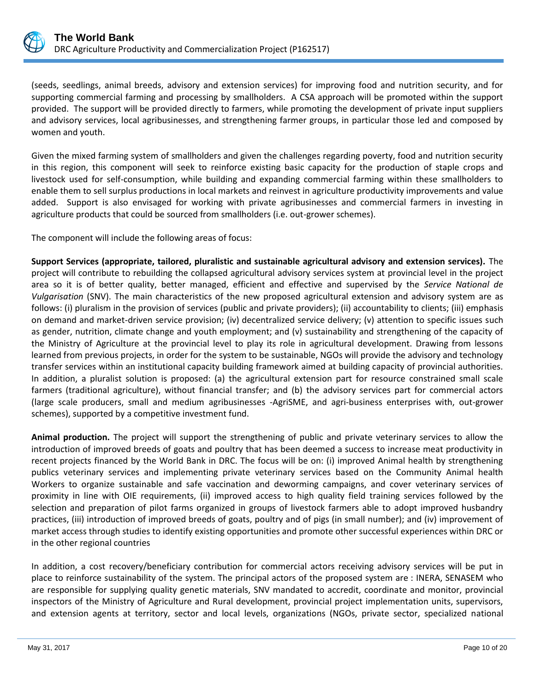

(seeds, seedlings, animal breeds, advisory and extension services) for improving food and nutrition security, and for supporting commercial farming and processing by smallholders. A CSA approach will be promoted within the support provided. The support will be provided directly to farmers, while promoting the development of private input suppliers and advisory services, local agribusinesses, and strengthening farmer groups, in particular those led and composed by women and youth.

Given the mixed farming system of smallholders and given the challenges regarding poverty, food and nutrition security in this region, this component will seek to reinforce existing basic capacity for the production of staple crops and livestock used for self-consumption, while building and expanding commercial farming within these smallholders to enable them to sell surplus productions in local markets and reinvest in agriculture productivity improvements and value added. Support is also envisaged for working with private agribusinesses and commercial farmers in investing in agriculture products that could be sourced from smallholders (i.e. out-grower schemes).

The component will include the following areas of focus:

**Support Services (appropriate, tailored, pluralistic and sustainable agricultural advisory and extension services).** The project will contribute to rebuilding the collapsed agricultural advisory services system at provincial level in the project area so it is of better quality, better managed, efficient and effective and supervised by the *Service National de Vulgarisation* (SNV). The main characteristics of the new proposed agricultural extension and advisory system are as follows: (i) pluralism in the provision of services (public and private providers); (ii) accountability to clients; (iii) emphasis on demand and market-driven service provision; (iv) decentralized service delivery; (v) attention to specific issues such as gender, nutrition, climate change and youth employment; and (v) sustainability and strengthening of the capacity of the Ministry of Agriculture at the provincial level to play its role in agricultural development. Drawing from lessons learned from previous projects, in order for the system to be sustainable, NGOs will provide the advisory and technology transfer services within an institutional capacity building framework aimed at building capacity of provincial authorities. In addition, a pluralist solution is proposed: (a) the agricultural extension part for resource constrained small scale farmers (traditional agriculture), without financial transfer; and (b) the advisory services part for commercial actors (large scale producers, small and medium agribusinesses -AgriSME, and agri-business enterprises with, out-grower schemes), supported by a competitive investment fund.

**Animal production.** The project will support the strengthening of public and private veterinary services to allow the introduction of improved breeds of goats and poultry that has been deemed a success to increase meat productivity in recent projects financed by the World Bank in DRC. The focus will be on: (i) improved Animal health by strengthening publics veterinary services and implementing private veterinary services based on the Community Animal health Workers to organize sustainable and safe vaccination and deworming campaigns, and cover veterinary services of proximity in line with OIE requirements, (ii) improved access to high quality field training services followed by the selection and preparation of pilot farms organized in groups of livestock farmers able to adopt improved husbandry practices, (iii) introduction of improved breeds of goats, poultry and of pigs (in small number); and (iv) improvement of market access through studies to identify existing opportunities and promote other successful experiences within DRC or in the other regional countries

In addition, a cost recovery/beneficiary contribution for commercial actors receiving advisory services will be put in place to reinforce sustainability of the system. The principal actors of the proposed system are : INERA, SENASEM who are responsible for supplying quality genetic materials, SNV mandated to accredit, coordinate and monitor, provincial inspectors of the Ministry of Agriculture and Rural development, provincial project implementation units, supervisors, and extension agents at territory, sector and local levels, organizations (NGOs, private sector, specialized national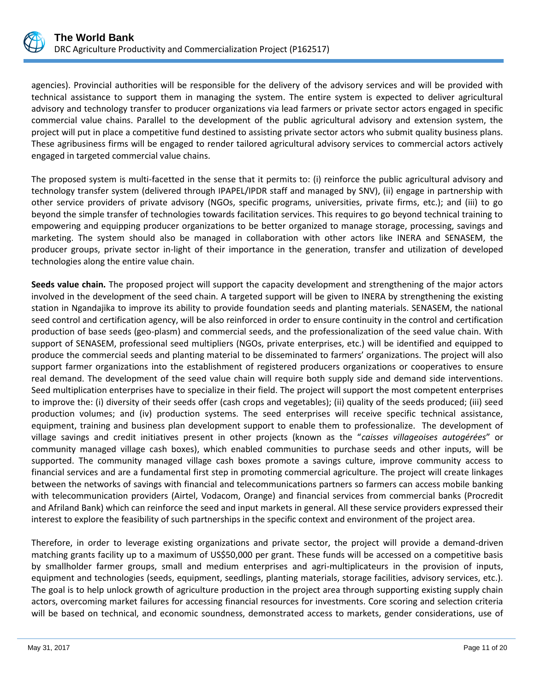

agencies). Provincial authorities will be responsible for the delivery of the advisory services and will be provided with technical assistance to support them in managing the system. The entire system is expected to deliver agricultural advisory and technology transfer to producer organizations via lead farmers or private sector actors engaged in specific commercial value chains. Parallel to the development of the public agricultural advisory and extension system, the project will put in place a competitive fund destined to assisting private sector actors who submit quality business plans. These agribusiness firms will be engaged to render tailored agricultural advisory services to commercial actors actively engaged in targeted commercial value chains.

The proposed system is multi-facetted in the sense that it permits to: (i) reinforce the public agricultural advisory and technology transfer system (delivered through IPAPEL/IPDR staff and managed by SNV), (ii) engage in partnership with other service providers of private advisory (NGOs, specific programs, universities, private firms, etc.); and (iii) to go beyond the simple transfer of technologies towards facilitation services. This requires to go beyond technical training to empowering and equipping producer organizations to be better organized to manage storage, processing, savings and marketing. The system should also be managed in collaboration with other actors like INERA and SENASEM, the producer groups, private sector in-light of their importance in the generation, transfer and utilization of developed technologies along the entire value chain.

**Seeds value chain.** The proposed project will support the capacity development and strengthening of the major actors involved in the development of the seed chain. A targeted support will be given to INERA by strengthening the existing station in Ngandajika to improve its ability to provide foundation seeds and planting materials. SENASEM, the national seed control and certification agency, will be also reinforced in order to ensure continuity in the control and certification production of base seeds (geo-plasm) and commercial seeds, and the professionalization of the seed value chain. With support of SENASEM, professional seed multipliers (NGOs, private enterprises, etc.) will be identified and equipped to produce the commercial seeds and planting material to be disseminated to farmers' organizations. The project will also support farmer organizations into the establishment of registered producers organizations or cooperatives to ensure real demand. The development of the seed value chain will require both supply side and demand side interventions. Seed multiplication enterprises have to specialize in their field. The project will support the most competent enterprises to improve the: (i) diversity of their seeds offer (cash crops and vegetables); (ii) quality of the seeds produced; (iii) seed production volumes; and (iv) production systems. The seed enterprises will receive specific technical assistance, equipment, training and business plan development support to enable them to professionalize. The development of village savings and credit initiatives present in other projects (known as the "*caisses villageoises autogérées*" or community managed village cash boxes), which enabled communities to purchase seeds and other inputs, will be supported. The community managed village cash boxes promote a savings culture, improve community access to financial services and are a fundamental first step in promoting commercial agriculture. The project will create linkages between the networks of savings with financial and telecommunications partners so farmers can access mobile banking with telecommunication providers (Airtel, Vodacom, Orange) and financial services from commercial banks (Procredit and Afriland Bank) which can reinforce the seed and input markets in general. All these service providers expressed their interest to explore the feasibility of such partnerships in the specific context and environment of the project area.

Therefore, in order to leverage existing organizations and private sector, the project will provide a demand-driven matching grants facility up to a maximum of US\$50,000 per grant. These funds will be accessed on a competitive basis by smallholder farmer groups, small and medium enterprises and agri-multiplicateurs in the provision of inputs, equipment and technologies (seeds, equipment, seedlings, planting materials, storage facilities, advisory services, etc.). The goal is to help unlock growth of agriculture production in the project area through supporting existing supply chain actors, overcoming market failures for accessing financial resources for investments. Core scoring and selection criteria will be based on technical, and economic soundness, demonstrated access to markets, gender considerations, use of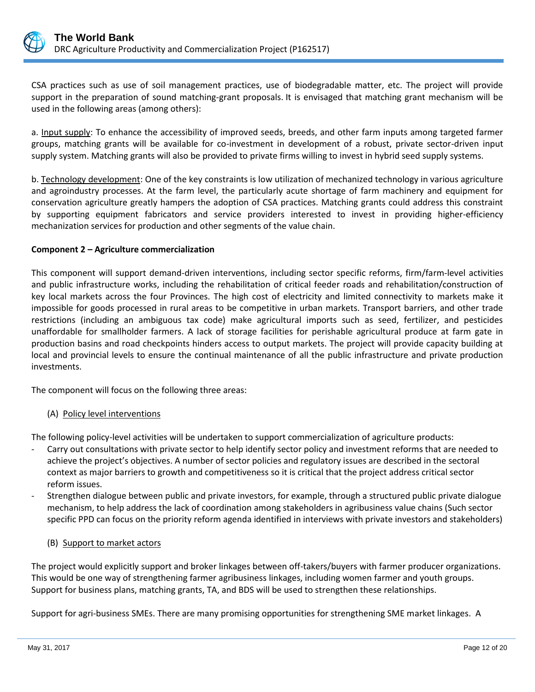

CSA practices such as use of soil management practices, use of biodegradable matter, etc. The project will provide support in the preparation of sound matching-grant proposals. It is envisaged that matching grant mechanism will be used in the following areas (among others):

a. Input supply: To enhance the accessibility of improved seeds, breeds, and other farm inputs among targeted farmer groups, matching grants will be available for co-investment in development of a robust, private sector-driven input supply system. Matching grants will also be provided to private firms willing to invest in hybrid seed supply systems.

b. Technology development: One of the key constraints is low utilization of mechanized technology in various agriculture and agroindustry processes. At the farm level, the particularly acute shortage of farm machinery and equipment for conservation agriculture greatly hampers the adoption of CSA practices. Matching grants could address this constraint by supporting equipment fabricators and service providers interested to invest in providing higher-efficiency mechanization services for production and other segments of the value chain.

## **Component 2 – Agriculture commercialization**

This component will support demand-driven interventions, including sector specific reforms, firm/farm-level activities and public infrastructure works, including the rehabilitation of critical feeder roads and rehabilitation/construction of key local markets across the four Provinces. The high cost of electricity and limited connectivity to markets make it impossible for goods processed in rural areas to be competitive in urban markets. Transport barriers, and other trade restrictions (including an ambiguous tax code) make agricultural imports such as seed, fertilizer, and pesticides unaffordable for smallholder farmers. A lack of storage facilities for perishable agricultural produce at farm gate in production basins and road checkpoints hinders access to output markets. The project will provide capacity building at local and provincial levels to ensure the continual maintenance of all the public infrastructure and private production investments.

The component will focus on the following three areas:

# (A) Policy level interventions

The following policy-level activities will be undertaken to support commercialization of agriculture products:

- Carry out consultations with private sector to help identify sector policy and investment reforms that are needed to achieve the project's objectives. A number of sector policies and regulatory issues are described in the sectoral context as major barriers to growth and competitiveness so it is critical that the project address critical sector reform issues.
- Strengthen dialogue between public and private investors, for example, through a structured public private dialogue mechanism, to help address the lack of coordination among stakeholders in agribusiness value chains (Such sector specific PPD can focus on the priority reform agenda identified in interviews with private investors and stakeholders)

#### (B) Support to market actors

The project would explicitly support and broker linkages between off-takers/buyers with farmer producer organizations. This would be one way of strengthening farmer agribusiness linkages, including women farmer and youth groups. Support for business plans, matching grants, TA, and BDS will be used to strengthen these relationships.

Support for agri-business SMEs. There are many promising opportunities for strengthening SME market linkages. A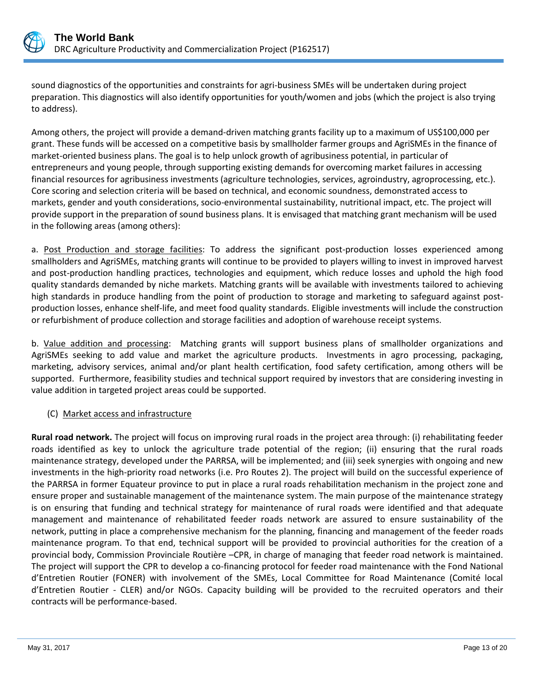

sound diagnostics of the opportunities and constraints for agri-business SMEs will be undertaken during project preparation. This diagnostics will also identify opportunities for youth/women and jobs (which the project is also trying to address).

Among others, the project will provide a demand-driven matching grants facility up to a maximum of US\$100,000 per grant. These funds will be accessed on a competitive basis by smallholder farmer groups and AgriSMEs in the finance of market-oriented business plans. The goal is to help unlock growth of agribusiness potential, in particular of entrepreneurs and young people, through supporting existing demands for overcoming market failures in accessing financial resources for agribusiness investments (agriculture technologies, services, agroindustry, agroprocessing, etc.). Core scoring and selection criteria will be based on technical, and economic soundness, demonstrated access to markets, gender and youth considerations, socio-environmental sustainability, nutritional impact, etc. The project will provide support in the preparation of sound business plans. It is envisaged that matching grant mechanism will be used in the following areas (among others):

a. Post Production and storage facilities: To address the significant post-production losses experienced among smallholders and AgriSMEs, matching grants will continue to be provided to players willing to invest in improved harvest and post-production handling practices, technologies and equipment, which reduce losses and uphold the high food quality standards demanded by niche markets. Matching grants will be available with investments tailored to achieving high standards in produce handling from the point of production to storage and marketing to safeguard against postproduction losses, enhance shelf-life, and meet food quality standards. Eligible investments will include the construction or refurbishment of produce collection and storage facilities and adoption of warehouse receipt systems.

b. Value addition and processing: Matching grants will support business plans of smallholder organizations and AgriSMEs seeking to add value and market the agriculture products. Investments in agro processing, packaging, marketing, advisory services, animal and/or plant health certification, food safety certification, among others will be supported. Furthermore, feasibility studies and technical support required by investors that are considering investing in value addition in targeted project areas could be supported.

# (C) Market access and infrastructure

**Rural road network.** The project will focus on improving rural roads in the project area through: (i) rehabilitating feeder roads identified as key to unlock the agriculture trade potential of the region; (ii) ensuring that the rural roads maintenance strategy, developed under the PARRSA, will be implemented; and (iii) seek synergies with ongoing and new investments in the high-priority road networks (i.e. Pro Routes 2). The project will build on the successful experience of the PARRSA in former Equateur province to put in place a rural roads rehabilitation mechanism in the project zone and ensure proper and sustainable management of the maintenance system. The main purpose of the maintenance strategy is on ensuring that funding and technical strategy for maintenance of rural roads were identified and that adequate management and maintenance of rehabilitated feeder roads network are assured to ensure sustainability of the network, putting in place a comprehensive mechanism for the planning, financing and management of the feeder roads maintenance program. To that end, technical support will be provided to provincial authorities for the creation of a provincial body, Commission Provinciale Routière –CPR, in charge of managing that feeder road network is maintained. The project will support the CPR to develop a co-financing protocol for feeder road maintenance with the Fond National d'Entretien Routier (FONER) with involvement of the SMEs, Local Committee for Road Maintenance (Comité local d'Entretien Routier - CLER) and/or NGOs. Capacity building will be provided to the recruited operators and their contracts will be performance-based.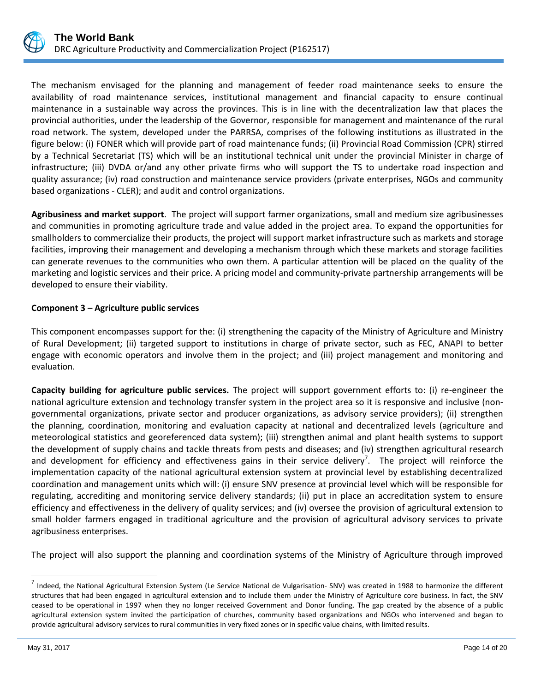

The mechanism envisaged for the planning and management of feeder road maintenance seeks to ensure the availability of road maintenance services, institutional management and financial capacity to ensure continual maintenance in a sustainable way across the provinces. This is in line with the decentralization law that places the provincial authorities, under the leadership of the Governor, responsible for management and maintenance of the rural road network. The system, developed under the PARRSA, comprises of the following institutions as illustrated in the figure below: (i) FONER which will provide part of road maintenance funds; (ii) Provincial Road Commission (CPR) stirred by a Technical Secretariat (TS) which will be an institutional technical unit under the provincial Minister in charge of infrastructure; (iii) DVDA or/and any other private firms who will support the TS to undertake road inspection and quality assurance; (iv) road construction and maintenance service providers (private enterprises, NGOs and community based organizations - CLER); and audit and control organizations.

**Agribusiness and market support**. The project will support farmer organizations, small and medium size agribusinesses and communities in promoting agriculture trade and value added in the project area. To expand the opportunities for smallholders to commercialize their products, the project will support market infrastructure such as markets and storage facilities, improving their management and developing a mechanism through which these markets and storage facilities can generate revenues to the communities who own them. A particular attention will be placed on the quality of the marketing and logistic services and their price. A pricing model and community-private partnership arrangements will be developed to ensure their viability.

## **Component 3 – Agriculture public services**

This component encompasses support for the: (i) strengthening the capacity of the Ministry of Agriculture and Ministry of Rural Development; (ii) targeted support to institutions in charge of private sector, such as FEC, ANAPI to better engage with economic operators and involve them in the project; and (iii) project management and monitoring and evaluation.

**Capacity building for agriculture public services.** The project will support government efforts to: (i) re-engineer the national agriculture extension and technology transfer system in the project area so it is responsive and inclusive (nongovernmental organizations, private sector and producer organizations, as advisory service providers); (ii) strengthen the planning, coordination, monitoring and evaluation capacity at national and decentralized levels (agriculture and meteorological statistics and georeferenced data system); (iii) strengthen animal and plant health systems to support the development of supply chains and tackle threats from pests and diseases; and (iv) strengthen agricultural research and development for efficiency and effectiveness gains in their service delivery<sup>7</sup>. The project will reinforce the implementation capacity of the national agricultural extension system at provincial level by establishing decentralized coordination and management units which will: (i) ensure SNV presence at provincial level which will be responsible for regulating, accrediting and monitoring service delivery standards; (ii) put in place an accreditation system to ensure efficiency and effectiveness in the delivery of quality services; and (iv) oversee the provision of agricultural extension to small holder farmers engaged in traditional agriculture and the provision of agricultural advisory services to private agribusiness enterprises.

The project will also support the planning and coordination systems of the Ministry of Agriculture through improved

 $^7$  Indeed, the National Agricultural Extension System (Le Service National de Vulgarisation-SNV) was created in 1988 to harmonize the different structures that had been engaged in agricultural extension and to include them under the Ministry of Agriculture core business. In fact, the SNV ceased to be operational in 1997 when they no longer received Government and Donor funding. The gap created by the absence of a public agricultural extension system invited the participation of churches, community based organizations and NGOs who intervened and began to provide agricultural advisory services to rural communities in very fixed zones or in specific value chains, with limited results.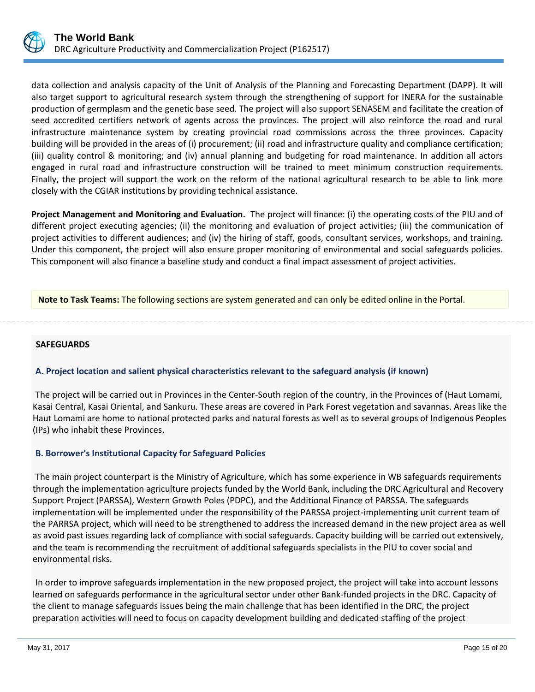

data collection and analysis capacity of the Unit of Analysis of the Planning and Forecasting Department (DAPP). It will also target support to agricultural research system through the strengthening of support for INERA for the sustainable production of germplasm and the genetic base seed. The project will also support SENASEM and facilitate the creation of seed accredited certifiers network of agents across the provinces. The project will also reinforce the road and rural infrastructure maintenance system by creating provincial road commissions across the three provinces. Capacity building will be provided in the areas of (i) procurement; (ii) road and infrastructure quality and compliance certification; (iii) quality control & monitoring; and (iv) annual planning and budgeting for road maintenance. In addition all actors engaged in rural road and infrastructure construction will be trained to meet minimum construction requirements. Finally, the project will support the work on the reform of the national agricultural research to be able to link more closely with the CGIAR institutions by providing technical assistance.

**Project Management and Monitoring and Evaluation.** The project will finance: (i) the operating costs of the PIU and of different project executing agencies; (ii) the monitoring and evaluation of project activities; (iii) the communication of project activities to different audiences; and (iv) the hiring of staff, goods, consultant services, workshops, and training. Under this component, the project will also ensure proper monitoring of environmental and social safeguards policies. This component will also finance a baseline study and conduct a final impact assessment of project activities.

**Note to Task Teams:** The following sections are system generated and can only be edited online in the Portal.

#### **SAFEGUARDS**

#### **A. Project location and salient physical characteristics relevant to the safeguard analysis (if known)**

The project will be carried out in Provinces in the Center-South region of the country, in the Provinces of (Haut Lomami, Kasai Central, Kasai Oriental, and Sankuru. These areas are covered in Park Forest vegetation and savannas. Areas like the Haut Lomami are home to national protected parks and natural forests as well as to several groups of Indigenous Peoples (IPs) who inhabit these Provinces.

#### **B. Borrower's Institutional Capacity for Safeguard Policies**

The main project counterpart is the Ministry of Agriculture, which has some experience in WB safeguards requirements through the implementation agriculture projects funded by the World Bank, including the DRC Agricultural and Recovery Support Project (PARSSA), Western Growth Poles (PDPC), and the Additional Finance of PARSSA. The safeguards implementation will be implemented under the responsibility of the PARSSA project-implementing unit current team of the PARRSA project, which will need to be strengthened to address the increased demand in the new project area as well as avoid past issues regarding lack of compliance with social safeguards. Capacity building will be carried out extensively, and the team is recommending the recruitment of additional safeguards specialists in the PIU to cover social and environmental risks.

In order to improve safeguards implementation in the new proposed project, the project will take into account lessons learned on safeguards performance in the agricultural sector under other Bank-funded projects in the DRC. Capacity of the client to manage safeguards issues being the main challenge that has been identified in the DRC, the project preparation activities will need to focus on capacity development building and dedicated staffing of the project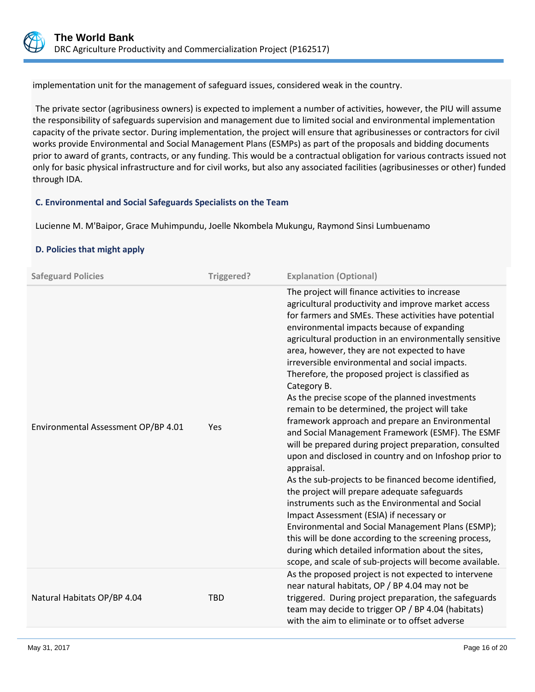

implementation unit for the management of safeguard issues, considered weak in the country.

The private sector (agribusiness owners) is expected to implement a number of activities, however, the PIU will assume the responsibility of safeguards supervision and management due to limited social and environmental implementation capacity of the private sector. During implementation, the project will ensure that agribusinesses or contractors for civil works provide Environmental and Social Management Plans (ESMPs) as part of the proposals and bidding documents prior to award of grants, contracts, or any funding. This would be a contractual obligation for various contracts issued not only for basic physical infrastructure and for civil works, but also any associated facilities (agribusinesses or other) funded through IDA.

## **C. Environmental and Social Safeguards Specialists on the Team**

Lucienne M. M'Baipor, Grace Muhimpundu, Joelle Nkombela Mukungu, Raymond Sinsi Lumbuenamo

# **D. Policies that might apply**

| <b>Safeguard Policies</b>           | Triggered? | <b>Explanation (Optional)</b>                                                                                                                                                                                                                                                                                                                                                                                                                                                                                                                                                                                                                                                                                                                                                                                                                                                                                                                                                                                                                                                                                                                                                                                                       |
|-------------------------------------|------------|-------------------------------------------------------------------------------------------------------------------------------------------------------------------------------------------------------------------------------------------------------------------------------------------------------------------------------------------------------------------------------------------------------------------------------------------------------------------------------------------------------------------------------------------------------------------------------------------------------------------------------------------------------------------------------------------------------------------------------------------------------------------------------------------------------------------------------------------------------------------------------------------------------------------------------------------------------------------------------------------------------------------------------------------------------------------------------------------------------------------------------------------------------------------------------------------------------------------------------------|
| Environmental Assessment OP/BP 4.01 | Yes        | The project will finance activities to increase<br>agricultural productivity and improve market access<br>for farmers and SMEs. These activities have potential<br>environmental impacts because of expanding<br>agricultural production in an environmentally sensitive<br>area, however, they are not expected to have<br>irreversible environmental and social impacts.<br>Therefore, the proposed project is classified as<br>Category B.<br>As the precise scope of the planned investments<br>remain to be determined, the project will take<br>framework approach and prepare an Environmental<br>and Social Management Framework (ESMF). The ESMF<br>will be prepared during project preparation, consulted<br>upon and disclosed in country and on Infoshop prior to<br>appraisal.<br>As the sub-projects to be financed become identified,<br>the project will prepare adequate safeguards<br>instruments such as the Environmental and Social<br>Impact Assessment (ESIA) if necessary or<br>Environmental and Social Management Plans (ESMP);<br>this will be done according to the screening process,<br>during which detailed information about the sites,<br>scope, and scale of sub-projects will become available. |
| Natural Habitats OP/BP 4.04         | <b>TBD</b> | As the proposed project is not expected to intervene<br>near natural habitats, OP / BP 4.04 may not be<br>triggered. During project preparation, the safeguards<br>team may decide to trigger OP / BP 4.04 (habitats)<br>with the aim to eliminate or to offset adverse                                                                                                                                                                                                                                                                                                                                                                                                                                                                                                                                                                                                                                                                                                                                                                                                                                                                                                                                                             |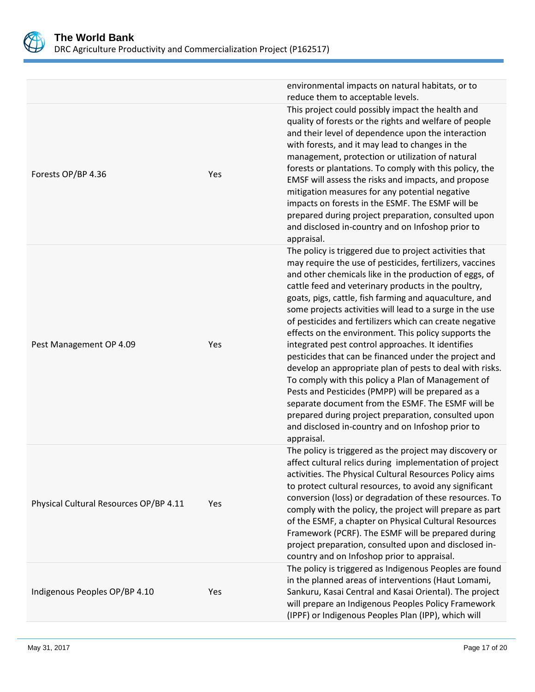

|                                        |     | environmental impacts on natural habitats, or to<br>reduce them to acceptable levels.                                                                                                                                                                                                                                                                                                                                                                                                                                                                                                                                                                                                                                                                                                                                                                                                                                                            |
|----------------------------------------|-----|--------------------------------------------------------------------------------------------------------------------------------------------------------------------------------------------------------------------------------------------------------------------------------------------------------------------------------------------------------------------------------------------------------------------------------------------------------------------------------------------------------------------------------------------------------------------------------------------------------------------------------------------------------------------------------------------------------------------------------------------------------------------------------------------------------------------------------------------------------------------------------------------------------------------------------------------------|
| Forests OP/BP 4.36                     | Yes | This project could possibly impact the health and<br>quality of forests or the rights and welfare of people<br>and their level of dependence upon the interaction<br>with forests, and it may lead to changes in the<br>management, protection or utilization of natural<br>forests or plantations. To comply with this policy, the<br>EMSF will assess the risks and impacts, and propose<br>mitigation measures for any potential negative<br>impacts on forests in the ESMF. The ESMF will be<br>prepared during project preparation, consulted upon<br>and disclosed in-country and on Infoshop prior to<br>appraisal.                                                                                                                                                                                                                                                                                                                       |
| Pest Management OP 4.09                | Yes | The policy is triggered due to project activities that<br>may require the use of pesticides, fertilizers, vaccines<br>and other chemicals like in the production of eggs, of<br>cattle feed and veterinary products in the poultry,<br>goats, pigs, cattle, fish farming and aquaculture, and<br>some projects activities will lead to a surge in the use<br>of pesticides and fertilizers which can create negative<br>effects on the environment. This policy supports the<br>integrated pest control approaches. It identifies<br>pesticides that can be financed under the project and<br>develop an appropriate plan of pests to deal with risks.<br>To comply with this policy a Plan of Management of<br>Pests and Pesticides (PMPP) will be prepared as a<br>separate document from the ESMF. The ESMF will be<br>prepared during project preparation, consulted upon<br>and disclosed in-country and on Infoshop prior to<br>appraisal. |
| Physical Cultural Resources OP/BP 4.11 | Yes | The policy is triggered as the project may discovery or<br>affect cultural relics during implementation of project<br>activities. The Physical Cultural Resources Policy aims<br>to protect cultural resources, to avoid any significant<br>conversion (loss) or degradation of these resources. To<br>comply with the policy, the project will prepare as part<br>of the ESMF, a chapter on Physical Cultural Resources<br>Framework (PCRF). The ESMF will be prepared during<br>project preparation, consulted upon and disclosed in-<br>country and on Infoshop prior to appraisal.                                                                                                                                                                                                                                                                                                                                                           |
| Indigenous Peoples OP/BP 4.10          | Yes | The policy is triggered as Indigenous Peoples are found<br>in the planned areas of interventions (Haut Lomami,<br>Sankuru, Kasai Central and Kasai Oriental). The project<br>will prepare an Indigenous Peoples Policy Framework<br>(IPPF) or Indigenous Peoples Plan (IPP), which will                                                                                                                                                                                                                                                                                                                                                                                                                                                                                                                                                                                                                                                          |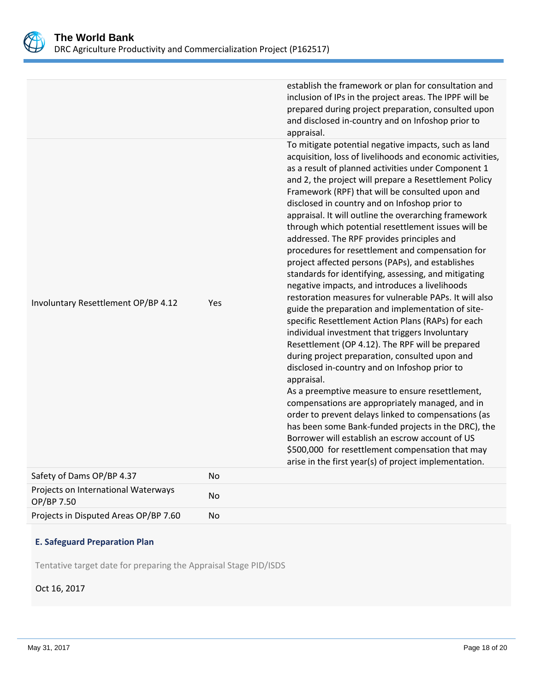

| Safety of Dams OP/BP 4.37           | No  | Borrower will establish an escrow account of US<br>\$500,000 for resettlement compensation that may<br>arise in the first year(s) of project implementation.                                                                                                                                                                                                                                                                                                                                                                                                                                                                                                                                                                                                                                                                                                                                                                                                                                                                                                                                                                                                                                                                                                                                                                                        |
|-------------------------------------|-----|-----------------------------------------------------------------------------------------------------------------------------------------------------------------------------------------------------------------------------------------------------------------------------------------------------------------------------------------------------------------------------------------------------------------------------------------------------------------------------------------------------------------------------------------------------------------------------------------------------------------------------------------------------------------------------------------------------------------------------------------------------------------------------------------------------------------------------------------------------------------------------------------------------------------------------------------------------------------------------------------------------------------------------------------------------------------------------------------------------------------------------------------------------------------------------------------------------------------------------------------------------------------------------------------------------------------------------------------------------|
| Involuntary Resettlement OP/BP 4.12 | Yes | appraisal.<br>To mitigate potential negative impacts, such as land<br>acquisition, loss of livelihoods and economic activities,<br>as a result of planned activities under Component 1<br>and 2, the project will prepare a Resettlement Policy<br>Framework (RPF) that will be consulted upon and<br>disclosed in country and on Infoshop prior to<br>appraisal. It will outline the overarching framework<br>through which potential resettlement issues will be<br>addressed. The RPF provides principles and<br>procedures for resettlement and compensation for<br>project affected persons (PAPs), and establishes<br>standards for identifying, assessing, and mitigating<br>negative impacts, and introduces a livelihoods<br>restoration measures for vulnerable PAPs. It will also<br>guide the preparation and implementation of site-<br>specific Resettlement Action Plans (RAPs) for each<br>individual investment that triggers Involuntary<br>Resettlement (OP 4.12). The RPF will be prepared<br>during project preparation, consulted upon and<br>disclosed in-country and on Infoshop prior to<br>appraisal.<br>As a preemptive measure to ensure resettlement,<br>compensations are appropriately managed, and in<br>order to prevent delays linked to compensations (as<br>has been some Bank-funded projects in the DRC), the |
|                                     |     | establish the framework or plan for consultation and<br>inclusion of IPs in the project areas. The IPPF will be<br>prepared during project preparation, consulted upon<br>and disclosed in-country and on Infoshop prior to                                                                                                                                                                                                                                                                                                                                                                                                                                                                                                                                                                                                                                                                                                                                                                                                                                                                                                                                                                                                                                                                                                                         |

| $50.50$ , $50.50$ , $50.75$ , $50.75$             | $\cdot\cdot$ |
|---------------------------------------------------|--------------|
| Projects on International Waterways<br>OP/BP 7.50 | No           |
| Projects in Disputed Areas OP/BP 7.60             | No           |
|                                                   |              |

# **E. Safeguard Preparation Plan**

Tentative target date for preparing the Appraisal Stage PID/ISDS

# Oct 16, 2017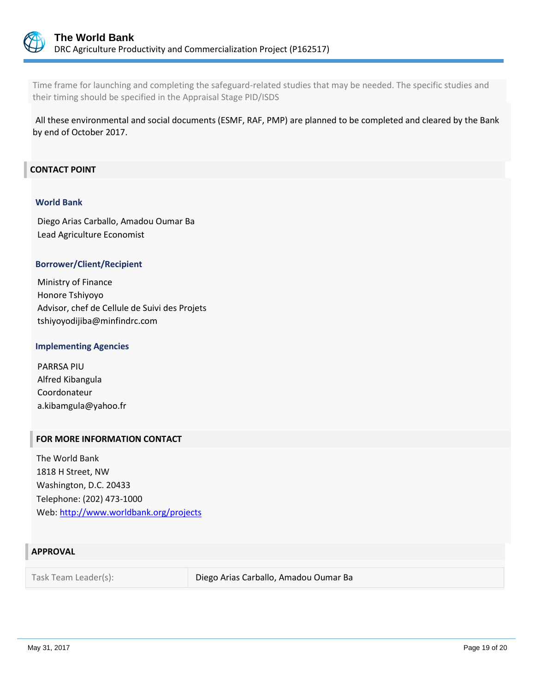

Time frame for launching and completing the safeguard-related studies that may be needed. The specific studies and their timing should be specified in the Appraisal Stage PID/ISDS

All these environmental and social documents (ESMF, RAF, PMP) are planned to be completed and cleared by the Bank by end of October 2017.

## **CONTACT POINT**

#### **World Bank**

Diego Arias Carballo, Amadou Oumar Ba Lead Agriculture Economist

#### **Borrower/Client/Recipient**

Ministry of Finance Honore Tshiyoyo Advisor, chef de Cellule de Suivi des Projets tshiyoyodijiba@minfindrc.com

#### **Implementing Agencies**

PARRSA PIU Alfred Kibangula Coordonateur a.kibamgula@yahoo.fr

#### **FOR MORE INFORMATION CONTACT**

The World Bank 1818 H Street, NW Washington, D.C. 20433 Telephone: (202) 473-1000 Web:<http://www.worldbank.org/projects>

#### **APPROVAL**

Task Team Leader(s): Diego Arias Carballo, Amadou Oumar Ba